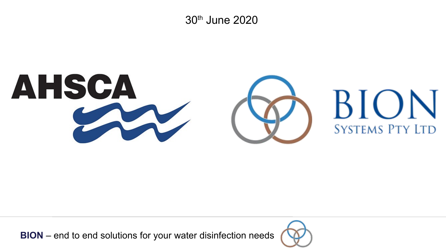30th June 2020



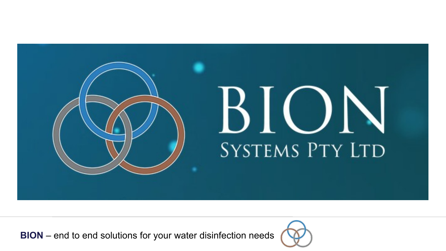

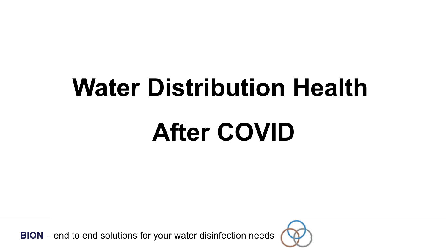## **Water Distribution Health**

## **After COVID**

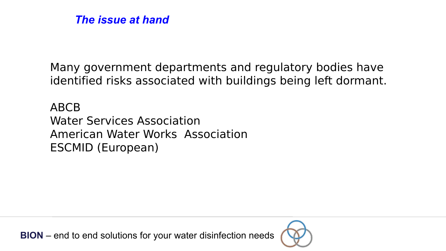

Many government departments and regulatory bodies have identified risks associated with buildings being left dormant.

ABCB Water Services Association American Water Works Association ESCMID (European)

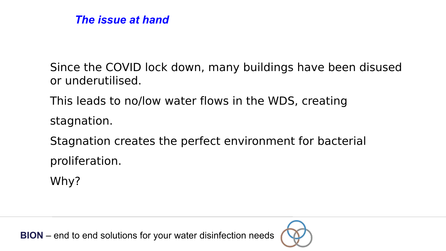

Since the COVID lock down, many buildings have been disused or underutilised.

This leads to no/low water flows in the WDS, creating stagnation.

Stagnation creates the perfect environment for bacterial proliferation.

Why?

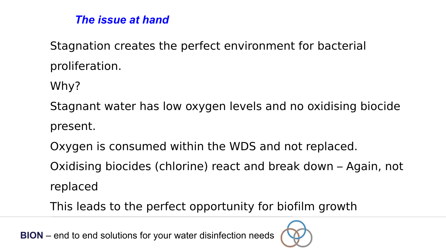#### *The issue at hand*

Stagnation creates the perfect environment for bacterial proliferation.

Why?

Stagnant water has low oxygen levels and no oxidising biocide present.

Oxygen is consumed within the WDS and not replaced.

Oxidising biocides (chlorine) react and break down – Again, not replaced

This leads to the perfect opportunity for biofilm growth

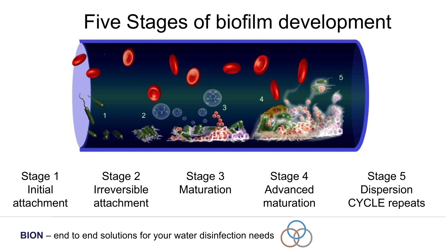### Five Stages of biofilm development



Stage 1 Initial attachment Stage 2 Irreversible attachment Stage 3 **Maturation** Stage 4 Advanced maturation Stage 5 Dispersion CYCLE repeats

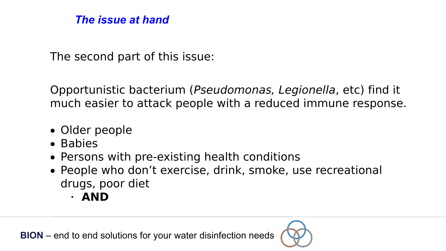#### *The issue at hand*

The second part of this issue:

Opportunistic bacterium (Pseudomonas, Legionella, etc) find it much easier to attack people with a reduced immune response.

- Older people
- Babies
- Persons with pre-existing health conditions
- People who don't exercise, drink, smoke, use recreational drugs, poor diet
	- **AND**

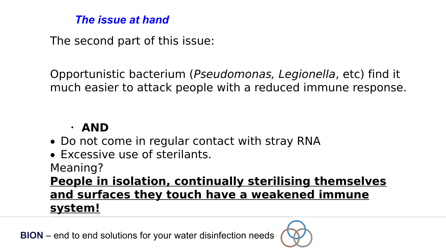#### *The issue at hand*

The second part of this issue:

Opportunistic bacterium (Pseudomonas, Legionella, etc) find it much easier to attack people with a reduced immune response.

#### **AND**

- Do not come in regular contact with stray RNA
- Excessive use of sterilants.

Meaning?

**People in isolation, continually sterilising themselves and surfaces they touch have a weakened immune system!**

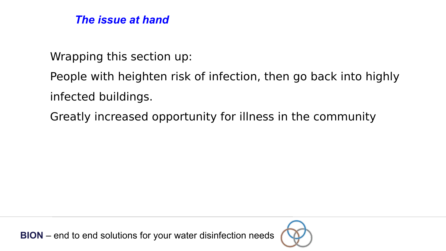

Wrapping this section up:

People with heighten risk of infection, then go back into highly infected buildings.

Greatly increased opportunity for illness in the community

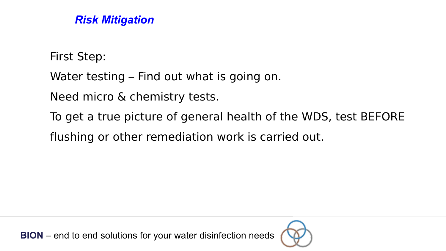First Step:

Water testing – Find out what is going on.

Need micro & chemistry tests.

To get a true picture of general health of the WDS, test BEFORE

flushing or other remediation work is carried out.

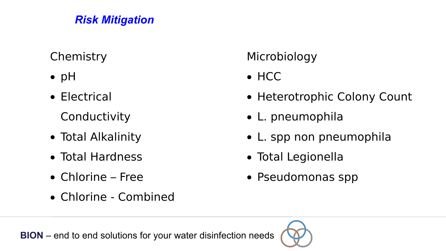#### **Chemistry**

- $\bullet$  pH
- Electrical

**Conductivity** 

- Total Alkalinity
- Total Hardness
- Chlorine Free
- Chlorine Combined

#### Microbiology

• HCC

- Heterotrophic Colony Count
- L. pneumophila
- L. spp non pneumophila
- Total Legionella
- Pseudomonas spp

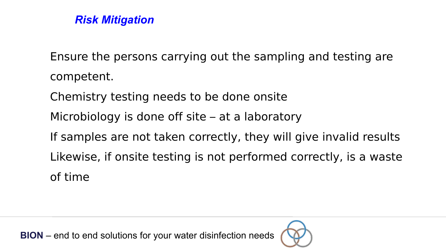

Ensure the persons carrying out the sampling and testing are competent. Chemistry testing needs to be done onsite Microbiology is done off site – at a laboratory If samples are not taken correctly, they will give invalid results Likewise, if onsite testing is not performed correctly, is a waste of time

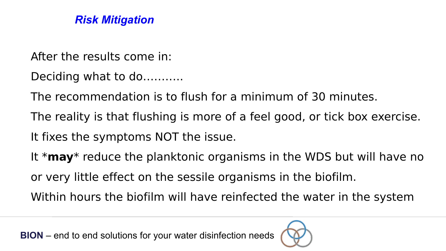

- After the results come in:
- Deciding what to do...........
- The recommendation is to flush for a minimum of 30 minutes.
- The reality is that flushing is more of a feel good, or tick box exercise.
- It fixes the symptoms NOT the issue.
- It \***may**\* reduce the planktonic organisms in the WDS but will have no or very little effect on the sessile organisms in the biofilm.

Within hours the biofilm will have reinfected the water in the system

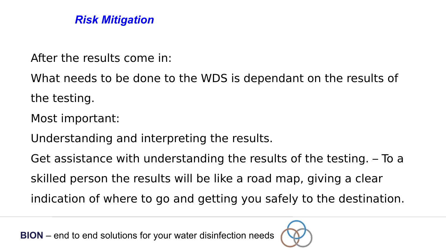After the results come in:

What needs to be done to the WDS is dependant on the results of the testing.

Most important:

Understanding and interpreting the results.

Get assistance with understanding the results of the testing. – To a

skilled person the results will be like a road map, giving a clear

indication of where to go and getting you safely to the destination.

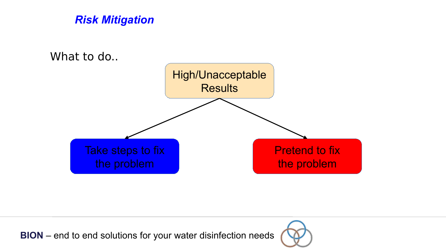



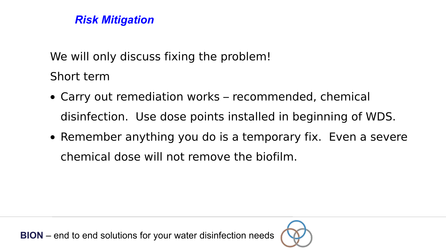We will only discuss fixing the problem!

Short term

- Carry out remediation works recommended, chemical disinfection. Use dose points installed in beginning of WDS.
- Remember anything you do is a temporary fix. Even a severe chemical dose will not remove the biofilm.

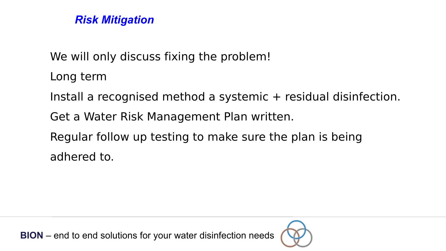

We will only discuss fixing the problem!

Long term

Install a recognised method a systemic + residual disinfection.

Get a Water Risk Management Plan written.

Regular follow up testing to make sure the plan is being adhered to.

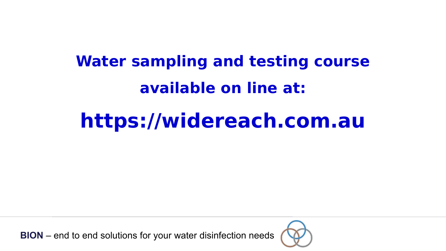### **Water sampling and testing course available on line at:**

## **https://widereach.com.au**